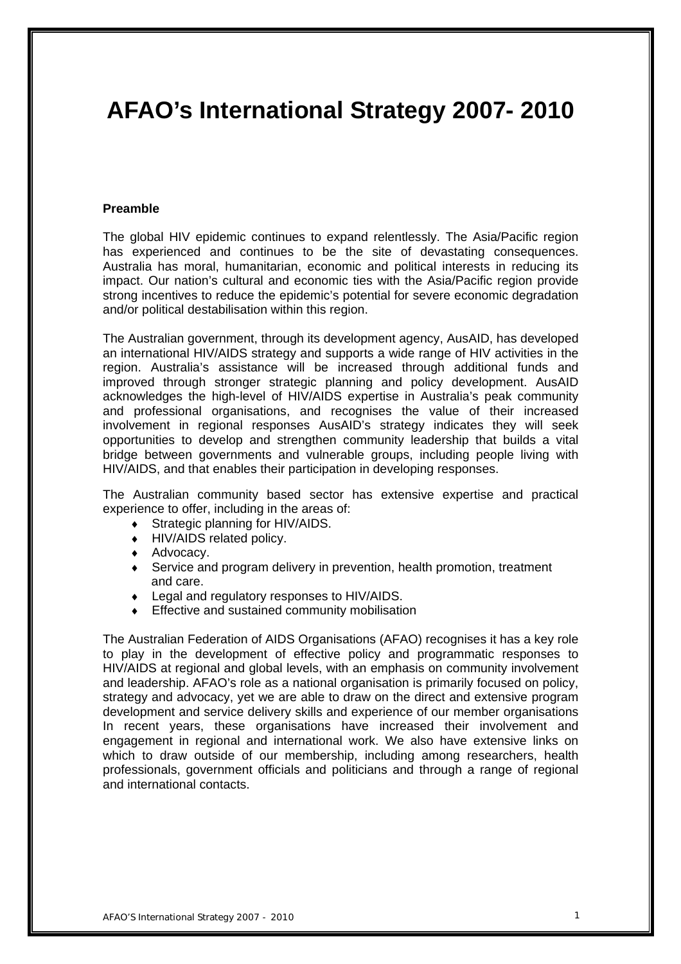# **AFAO's International Strategy 2007- 2010**

#### **Preamble**

The global HIV epidemic continues to expand relentlessly. The Asia/Pacific region has experienced and continues to be the site of devastating consequences. Australia has moral, humanitarian, economic and political interests in reducing its impact. Our nation's cultural and economic ties with the Asia/Pacific region provide strong incentives to reduce the epidemic's potential for severe economic degradation and/or political destabilisation within this region.

The Australian government, through its development agency, AusAID, has developed an international HIV/AIDS strategy and supports a wide range of HIV activities in the region. Australia's assistance will be increased through additional funds and improved through stronger strategic planning and policy development. AusAID acknowledges the high-level of HIV/AIDS expertise in Australia's peak community and professional organisations, and recognises the value of their increased involvement in regional responses AusAID's strategy indicates they will seek opportunities to develop and strengthen community leadership that builds a vital bridge between governments and vulnerable groups, including people living with HIV/AIDS, and that enables their participation in developing responses.

The Australian community based sector has extensive expertise and practical experience to offer, including in the areas of:

- Strategic planning for HIV/AIDS.
- ♦ HIV/AIDS related policy.
- ♦ Advocacy.
- Service and program delivery in prevention, health promotion, treatment and care.
- ♦ Legal and regulatory responses to HIV/AIDS.
- Effective and sustained community mobilisation

The Australian Federation of AIDS Organisations (AFAO) recognises it has a key role to play in the development of effective policy and programmatic responses to HIV/AIDS at regional and global levels, with an emphasis on community involvement and leadership. AFAO's role as a national organisation is primarily focused on policy, strategy and advocacy, yet we are able to draw on the direct and extensive program development and service delivery skills and experience of our member organisations In recent years, these organisations have increased their involvement and engagement in regional and international work. We also have extensive links on which to draw outside of our membership, including among researchers, health professionals, government officials and politicians and through a range of regional and international contacts.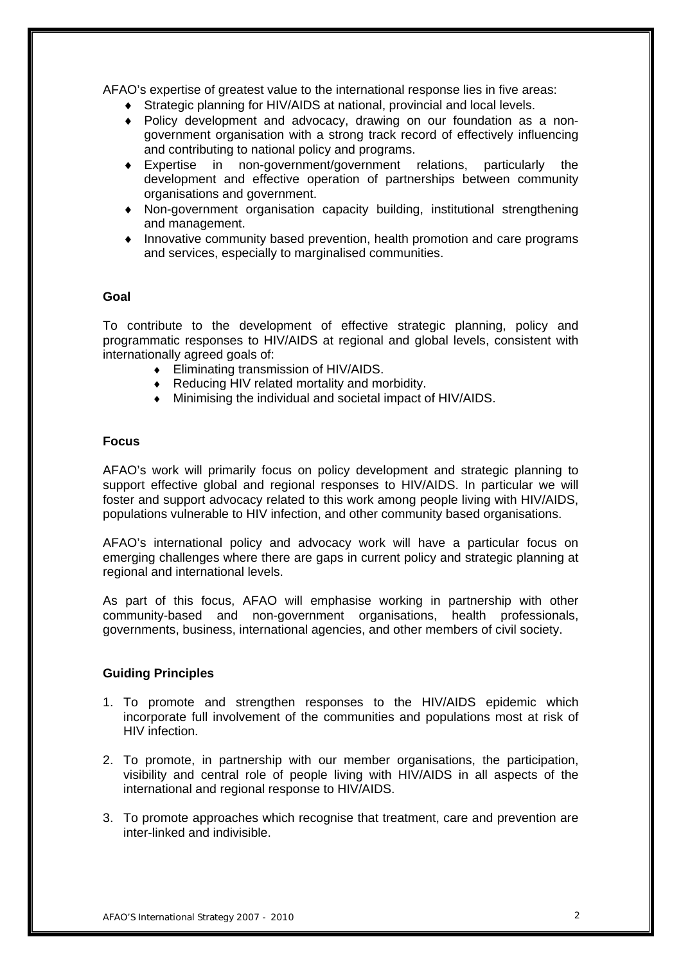AFAO's expertise of greatest value to the international response lies in five areas:

- ♦ Strategic planning for HIV/AIDS at national, provincial and local levels.
- ♦ Policy development and advocacy, drawing on our foundation as a nongovernment organisation with a strong track record of effectively influencing and contributing to national policy and programs.
- ♦ Expertise in non-government/government relations, particularly the development and effective operation of partnerships between community organisations and government.
- ♦ Non-government organisation capacity building, institutional strengthening and management.
- Innovative community based prevention, health promotion and care programs and services, especially to marginalised communities.

# **Goal**

To contribute to the development of effective strategic planning, policy and programmatic responses to HIV/AIDS at regional and global levels, consistent with internationally agreed goals of:

- ♦ Eliminating transmission of HIV/AIDS.
- ♦ Reducing HIV related mortality and morbidity.
- ♦ Minimising the individual and societal impact of HIV/AIDS.

# **Focus**

AFAO's work will primarily focus on policy development and strategic planning to support effective global and regional responses to HIV/AIDS. In particular we will foster and support advocacy related to this work among people living with HIV/AIDS, populations vulnerable to HIV infection, and other community based organisations.

AFAO's international policy and advocacy work will have a particular focus on emerging challenges where there are gaps in current policy and strategic planning at regional and international levels.

As part of this focus, AFAO will emphasise working in partnership with other community-based and non-government organisations, health professionals, governments, business, international agencies, and other members of civil society.

# **Guiding Principles**

- 1. To promote and strengthen responses to the HIV/AIDS epidemic which incorporate full involvement of the communities and populations most at risk of HIV infection.
- 2. To promote, in partnership with our member organisations, the participation, visibility and central role of people living with HIV/AIDS in all aspects of the international and regional response to HIV/AIDS.
- 3. To promote approaches which recognise that treatment, care and prevention are inter-linked and indivisible.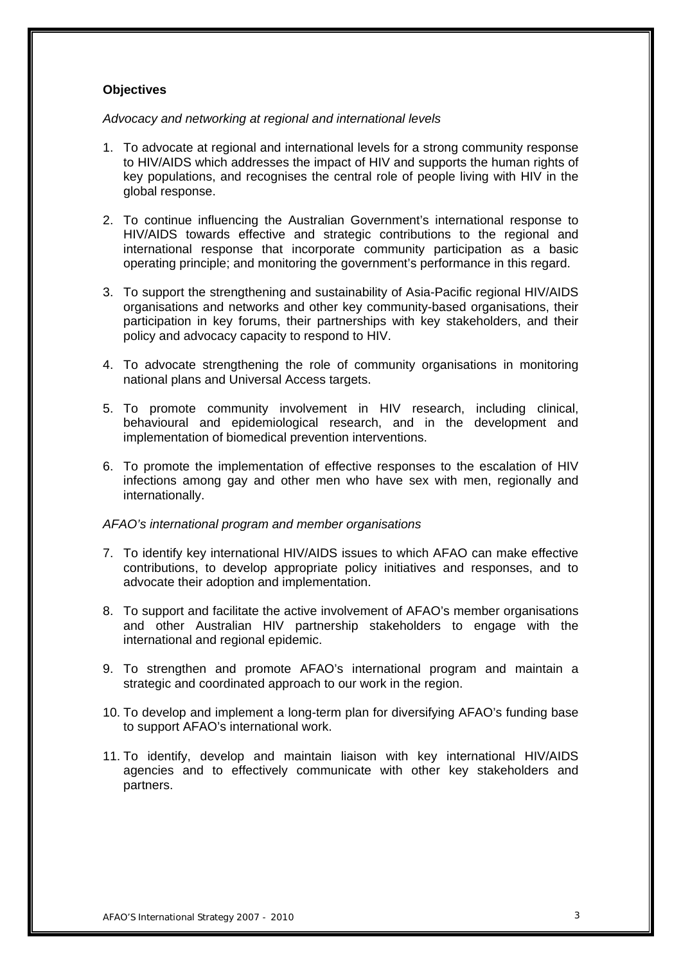# **Objectives**

*Advocacy and networking at regional and international levels* 

- 1. To advocate at regional and international levels for a strong community response to HIV/AIDS which addresses the impact of HIV and supports the human rights of key populations, and recognises the central role of people living with HIV in the global response.
- 2. To continue influencing the Australian Government's international response to HIV/AIDS towards effective and strategic contributions to the regional and international response that incorporate community participation as a basic operating principle; and monitoring the government's performance in this regard.
- 3. To support the strengthening and sustainability of Asia-Pacific regional HIV/AIDS organisations and networks and other key community-based organisations, their participation in key forums, their partnerships with key stakeholders, and their policy and advocacy capacity to respond to HIV.
- 4. To advocate strengthening the role of community organisations in monitoring national plans and Universal Access targets.
- 5. To promote community involvement in HIV research, including clinical, behavioural and epidemiological research, and in the development and implementation of biomedical prevention interventions.
- 6. To promote the implementation of effective responses to the escalation of HIV infections among gay and other men who have sex with men, regionally and internationally.

# *AFAO's international program and member organisations*

- 7. To identify key international HIV/AIDS issues to which AFAO can make effective contributions, to develop appropriate policy initiatives and responses, and to advocate their adoption and implementation.
- 8. To support and facilitate the active involvement of AFAO's member organisations and other Australian HIV partnership stakeholders to engage with the international and regional epidemic.
- 9. To strengthen and promote AFAO's international program and maintain a strategic and coordinated approach to our work in the region.
- 10. To develop and implement a long-term plan for diversifying AFAO's funding base to support AFAO's international work.
- 11. To identify, develop and maintain liaison with key international HIV/AIDS agencies and to effectively communicate with other key stakeholders and partners.